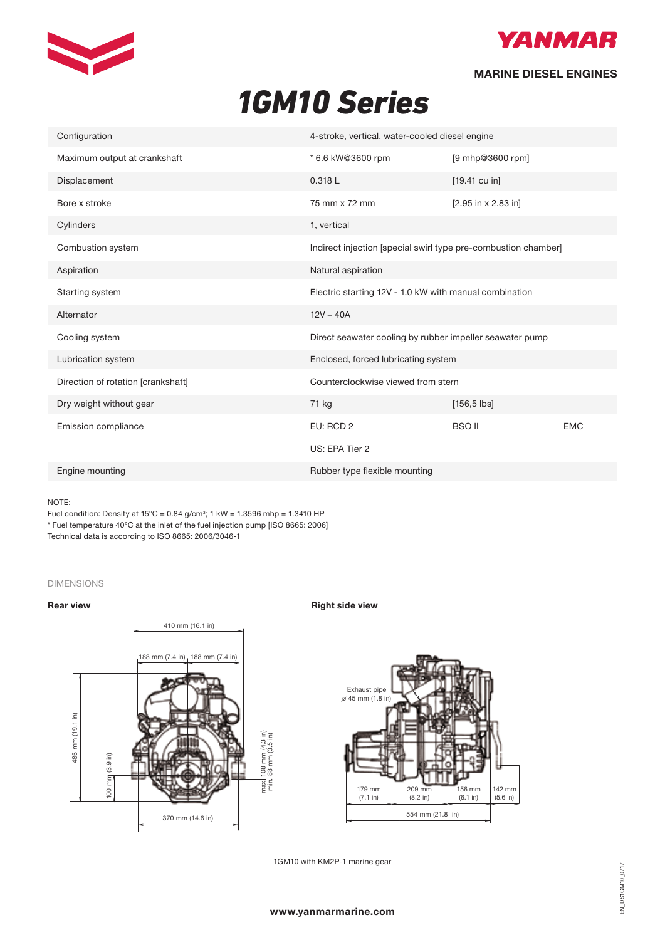



## MARINE DIESEL ENGINES

# *1GM10 Series* **1GM10** Series

| Configuration                      | 4-stroke, vertical, water-cooled diesel engine           |                                                                |            |
|------------------------------------|----------------------------------------------------------|----------------------------------------------------------------|------------|
| Maximum output at crankshaft       | * 6.6 kW@3600 rpm                                        | [9 mhp@3600 rpm]                                               |            |
| Displacement                       | 0.318 L                                                  | $[19.41 \text{ cu in}]$                                        |            |
| Bore x stroke                      | 75 mm x 72 mm                                            | $[2.95$ in x 2.83 in]                                          |            |
| Cylinders                          | 1, vertical                                              |                                                                |            |
| Combustion system                  |                                                          | Indirect injection [special swirl type pre-combustion chamber] |            |
| Aspiration                         | Natural aspiration                                       |                                                                |            |
| Starting system                    | Electric starting 12V - 1.0 kW with manual combination   |                                                                |            |
| Alternator                         | $12V - 40A$                                              |                                                                |            |
| Cooling system                     | Direct seawater cooling by rubber impeller seawater pump |                                                                |            |
| Lubrication system                 | Enclosed, forced lubricating system                      |                                                                |            |
| Direction of rotation [crankshaft] | Counterclockwise viewed from stern                       |                                                                |            |
| Dry weight without gear            | 71 kg                                                    | $[156, 5$ lbs]                                                 |            |
| Emission compliance                | EU: RCD 2                                                | <b>BSO II</b>                                                  | <b>EMC</b> |
|                                    | US: EPA Tier 2                                           |                                                                |            |
| Engine mounting                    | Rubber type flexible mounting                            |                                                                |            |

#### NOTE:

Fuel condition: Density at  $15^{\circ}$ C = 0.84 g/cm<sup>3</sup>; 1 kW = 1.3596 mhp = 1.3410 HP \* Fuel temperature 40°C at the inlet of the fuel injection pump [ISO 8665: 2006] Technical data is according to ISO 8665: 2006/3046-1

#### DIMENSIONS Dimensions (For detailed line-drawings, please refer to our web-site: www.yanmarmarine.com)

Rear view **Right side view** Right side view





1GM10 with KM2P-1 marine gear